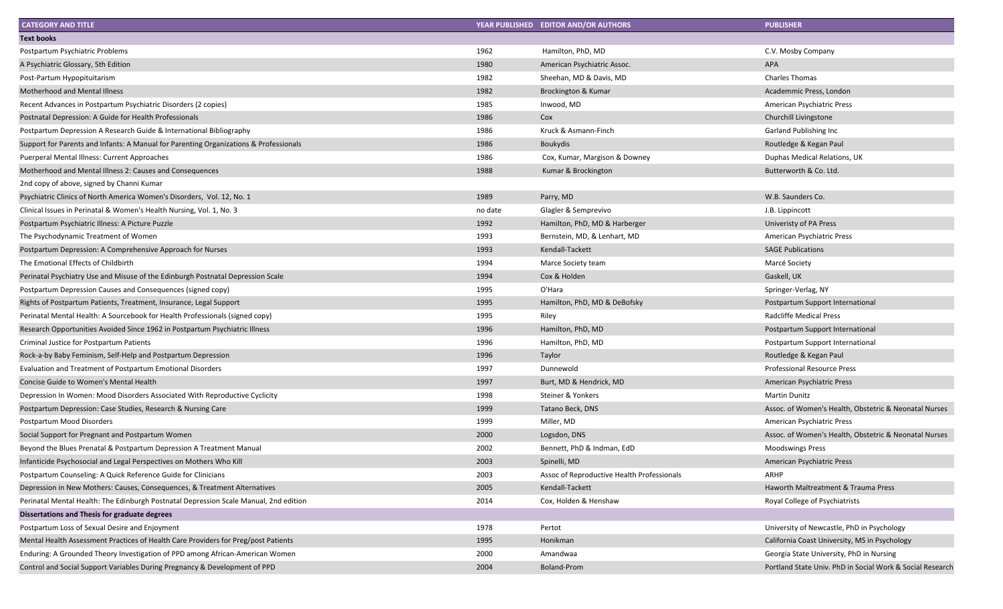| <b>CATEGORY AND TITLE</b>                                                             |         | YEAR PUBLISHED EDITOR AND/OR AUTHORS       | <b>PUBLISHER</b>                                          |
|---------------------------------------------------------------------------------------|---------|--------------------------------------------|-----------------------------------------------------------|
| <b>Text books</b>                                                                     |         |                                            |                                                           |
| Postpartum Psychiatric Problems                                                       | 1962    | Hamilton, PhD, MD                          | C.V. Mosby Company                                        |
| A Psychiatric Glossary, 5th Edition                                                   | 1980    | American Psychiatric Assoc.                | APA                                                       |
| Post-Partum Hypopituitarism                                                           | 1982    | Sheehan, MD & Davis, MD                    | <b>Charles Thomas</b>                                     |
| <b>Motherhood and Mental Illness</b>                                                  | 1982    | Brockington & Kumar                        | Academmic Press, London                                   |
| Recent Advances in Postpartum Psychiatric Disorders (2 copies)                        | 1985    | Inwood, MD                                 | American Psychiatric Press                                |
| Postnatal Depression: A Guide for Health Professionals                                | 1986    | Cox                                        | Churchill Livingstone                                     |
| Postpartum Depression A Research Guide & International Bibliography                   | 1986    | Kruck & Asmann-Finch                       | Garland Publishing Inc                                    |
| Support for Parents and Infants: A Manual for Parenting Organizations & Professionals | 1986    | <b>Boukydis</b>                            | Routledge & Kegan Paul                                    |
| Puerperal Mental Illness: Current Approaches                                          | 1986    | Cox, Kumar, Margison & Downey              | Duphas Medical Relations, UK                              |
| Motherhood and Mental Illness 2: Causes and Consequences                              | 1988    | Kumar & Brockington                        | Butterworth & Co. Ltd.                                    |
| 2nd copy of above, signed by Channi Kumar                                             |         |                                            |                                                           |
| Psychiatric Clinics of North America Women's Disorders, Vol. 12, No. 1                | 1989    | Parry, MD                                  | W.B. Saunders Co.                                         |
| Clinical Issues in Perinatal & Women's Health Nursing, Vol. 1, No. 3                  | no date | Glagler & Semprevivo                       | J.B. Lippincott                                           |
| Postpartum Psychiatric Illness: A Picture Puzzle                                      | 1992    | Hamilton, PhD, MD & Harberger              | Univeristy of PA Press                                    |
| The Psychodynamic Treatment of Women                                                  | 1993    | Bernstein, MD, & Lenhart, MD               | American Psychiatric Press                                |
| Postpartum Depression: A Comprehensive Approach for Nurses                            | 1993    | Kendall-Tackett                            | <b>SAGE Publications</b>                                  |
| The Emotional Effects of Childbirth                                                   | 1994    | Marce Society team                         | Marcé Society                                             |
| Perinatal Psychiatry Use and Misuse of the Edinburgh Postnatal Depression Scale       | 1994    | Cox & Holden                               | Gaskell, UK                                               |
| Postpartum Depression Causes and Consequences (signed copy)                           | 1995    | O'Hara                                     | Springer-Verlag, NY                                       |
| Rights of Postpartum Patients, Treatment, Insurance, Legal Support                    | 1995    | Hamilton, PhD, MD & DeBofsky               | Postpartum Support International                          |
| Perinatal Mental Health: A Sourcebook for Health Professionals (signed copy)          | 1995    | Riley                                      | <b>Radcliffe Medical Press</b>                            |
| Research Opportunities Avoided Since 1962 in Postpartum Psychiatric Illness           | 1996    | Hamilton, PhD, MD                          | Postpartum Support International                          |
| Criminal Justice for Postpartum Patients                                              | 1996    | Hamilton, PhD, MD                          | Postpartum Support International                          |
| Rock-a-by Baby Feminism, Self-Help and Postpartum Depression                          | 1996    | Taylor                                     | Routledge & Kegan Paul                                    |
| Evaluation and Treatment of Postpartum Emotional Disorders                            | 1997    | Dunnewold                                  | <b>Professional Resource Press</b>                        |
| Concise Guide to Women's Mental Health                                                | 1997    | Burt, MD & Hendrick, MD                    | American Psychiatric Press                                |
| Depression In Women: Mood Disorders Associated With Reproductive Cyclicity            | 1998    | Steiner & Yonkers                          | <b>Martin Dunitz</b>                                      |
| Postpartum Depression: Case Studies, Research & Nursing Care                          | 1999    | Tatano Beck, DNS                           | Assoc. of Women's Health, Obstetric & Neonatal Nurses     |
| Postpartum Mood Disorders                                                             | 1999    | Miller, MD                                 | American Psychiatric Press                                |
| Social Support for Pregnant and Postpartum Women                                      | 2000    | Logsdon, DNS                               | Assoc. of Women's Health, Obstetric & Neonatal Nurses     |
| Beyond the Blues Prenatal & Postpartum Depression A Treatment Manual                  | 2002    | Bennett, PhD & Indman, EdD                 | <b>Moodswings Press</b>                                   |
| Infanticide Psychosocial and Legal Perspectives on Mothers Who Kill                   | 2003    | Spinelli, MD                               | American Psychiatric Press                                |
| Postpartum Counseling: A Quick Reference Guide for Clinicians                         | 2003    | Assoc of Reproductive Health Professionals | ARHP                                                      |
| Depression in New Mothers: Causes, Consequences, & Treatment Alternatives             | 2005    | Kendall-Tackett                            | Haworth Maltreatment & Trauma Press                       |
| Perinatal Mental Health: The Edinburgh Postnatal Depression Scale Manual, 2nd edition | 2014    | Cox, Holden & Henshaw                      | Royal College of Psychiatrists                            |
| Dissertations and Thesis for graduate degrees                                         |         |                                            |                                                           |
| Postpartum Loss of Sexual Desire and Enjoyment                                        | 1978    | Pertot                                     | University of Newcastle, PhD in Psychology                |
| Mental Health Assessment Practices of Health Care Providers for Preg/post Patients    | 1995    | Honikman                                   | California Coast University, MS in Psychology             |
| Enduring: A Grounded Theory Investigation of PPD among African-American Women         | 2000    | Amandwaa                                   | Georgia State University, PhD in Nursing                  |
| Control and Social Support Variables During Pregnancy & Development of PPD            | 2004    | <b>Boland-Prom</b>                         | Portland State Univ. PhD in Social Work & Social Research |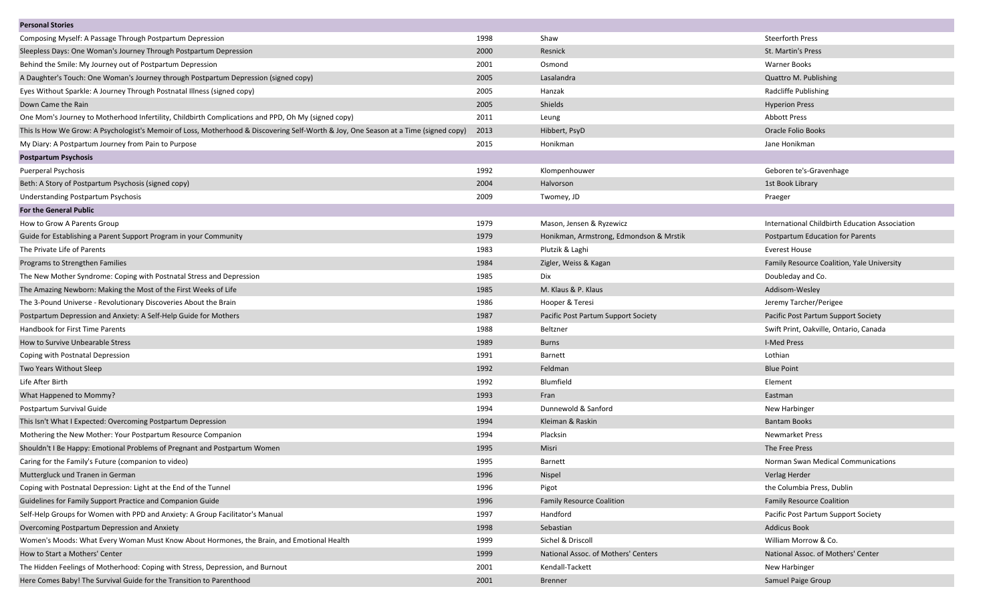| <b>Personal Stories</b>                                                                                                             |      |                                         |                                                |
|-------------------------------------------------------------------------------------------------------------------------------------|------|-----------------------------------------|------------------------------------------------|
| Composing Myself: A Passage Through Postpartum Depression                                                                           | 1998 | Shaw                                    | <b>Steerforth Press</b>                        |
| Sleepless Days: One Woman's Journey Through Postpartum Depression                                                                   | 2000 | Resnick                                 | St. Martin's Press                             |
| Behind the Smile: My Journey out of Postpartum Depression                                                                           | 2001 | Osmond                                  | Warner Books                                   |
| A Daughter's Touch: One Woman's Journey through Postpartum Depression (signed copy)                                                 | 2005 | Lasalandra                              | <b>Quattro M. Publishing</b>                   |
| Eyes Without Sparkle: A Journey Through Postnatal Illness (signed copy)                                                             | 2005 | Hanzak                                  | Radcliffe Publishing                           |
| Down Came the Rain                                                                                                                  | 2005 | Shields                                 | <b>Hyperion Press</b>                          |
| One Mom's Journey to Motherhood Infertility, Childbirth Complications and PPD, Oh My (signed copy)                                  | 2011 | Leung                                   | <b>Abbott Press</b>                            |
| This Is How We Grow: A Psychologist's Memoir of Loss, Motherhood & Discovering Self-Worth & Joy, One Season at a Time (signed copy) | 2013 | Hibbert, PsyD                           | Oracle Folio Books                             |
| My Diary: A Postpartum Journey from Pain to Purpose                                                                                 | 2015 | Honikman                                | Jane Honikman                                  |
| <b>Postpartum Psychosis</b>                                                                                                         |      |                                         |                                                |
| <b>Puerperal Psychosis</b>                                                                                                          | 1992 | Klompenhouwer                           | Geboren te's-Gravenhage                        |
| Beth: A Story of Postpartum Psychosis (signed copy)                                                                                 | 2004 | Halvorson                               | 1st Book Library                               |
| Understanding Postpartum Psychosis                                                                                                  | 2009 | Twomey, JD                              | Praeger                                        |
| <b>For the General Public</b>                                                                                                       |      |                                         |                                                |
| How to Grow A Parents Group                                                                                                         | 1979 | Mason, Jensen & Ryzewicz                | International Childbirth Education Association |
| Guide for Establishing a Parent Support Program in your Community                                                                   | 1979 | Honikman, Armstrong, Edmondson & Mrstik | <b>Postpartum Education for Parents</b>        |
| The Private Life of Parents                                                                                                         | 1983 | Plutzik & Laghi                         | <b>Everest House</b>                           |
| Programs to Strengthen Families                                                                                                     | 1984 | Zigler, Weiss & Kagan                   | Family Resource Coalition, Yale University     |
| The New Mother Syndrome: Coping with Postnatal Stress and Depression                                                                | 1985 | <b>Dix</b>                              | Doubleday and Co.                              |
| The Amazing Newborn: Making the Most of the First Weeks of Life                                                                     | 1985 | M. Klaus & P. Klaus                     | Addisom-Wesley                                 |
| The 3-Pound Universe - Revolutionary Discoveries About the Brain                                                                    | 1986 | Hooper & Teresi                         | Jeremy Tarcher/Perigee                         |
| Postpartum Depression and Anxiety: A Self-Help Guide for Mothers                                                                    | 1987 | Pacific Post Partum Support Society     | Pacific Post Partum Support Society            |
| Handbook for First Time Parents                                                                                                     | 1988 | Beltzner                                | Swift Print, Oakville, Ontario, Canada         |
| How to Survive Unbearable Stress                                                                                                    | 1989 | <b>Burns</b>                            | <b>I-Med Press</b>                             |
| Coping with Postnatal Depression                                                                                                    | 1991 | Barnett                                 | Lothian                                        |
| Two Years Without Sleep                                                                                                             | 1992 | Feldman                                 | <b>Blue Point</b>                              |
| Life After Birth                                                                                                                    | 1992 | Blumfield                               | Element                                        |
| What Happened to Mommy?                                                                                                             | 1993 | Fran                                    | Eastman                                        |
| Postpartum Survival Guide                                                                                                           | 1994 | Dunnewold & Sanford                     | New Harbinger                                  |
| This Isn't What I Expected: Overcoming Postpartum Depression                                                                        | 1994 | Kleiman & Raskin                        | <b>Bantam Books</b>                            |
| Mothering the New Mother: Your Postpartum Resource Companion                                                                        | 1994 | Placksin                                | <b>Newmarket Press</b>                         |
| Shouldn't I Be Happy: Emotional Problems of Pregnant and Postpartum Women                                                           | 1995 | Misri                                   | The Free Press                                 |
| Caring for the Family's Future (companion to video)                                                                                 | 1995 | Barnett                                 | Norman Swan Medical Communications             |
| Muttergluck und Tranen in German                                                                                                    | 1996 | Nispel                                  | Verlag Herder                                  |
| Coping with Postnatal Depression: Light at the End of the Tunnel                                                                    | 1996 | Pigot                                   | the Columbia Press, Dublin                     |
| Guidelines for Family Support Practice and Companion Guide                                                                          | 1996 | <b>Family Resource Coalition</b>        | <b>Family Resource Coalition</b>               |
| Self-Help Groups for Women with PPD and Anxiety: A Group Facilitator's Manual                                                       | 1997 | Handford                                | Pacific Post Partum Support Society            |
| Overcoming Postpartum Depression and Anxiety                                                                                        | 1998 | Sebastian                               | <b>Addicus Book</b>                            |
| Women's Moods: What Every Woman Must Know About Hormones, the Brain, and Emotional Health                                           | 1999 | Sichel & Driscoll                       | William Morrow & Co.                           |
| How to Start a Mothers' Center                                                                                                      | 1999 | National Assoc. of Mothers' Centers     | National Assoc. of Mothers' Center             |
| The Hidden Feelings of Motherhood: Coping with Stress, Depression, and Burnout                                                      | 2001 | Kendall-Tackett                         | New Harbinger                                  |
| Here Comes Baby! The Survival Guide for the Transition to Parenthood                                                                | 2001 | <b>Brenner</b>                          | Samuel Paige Group                             |